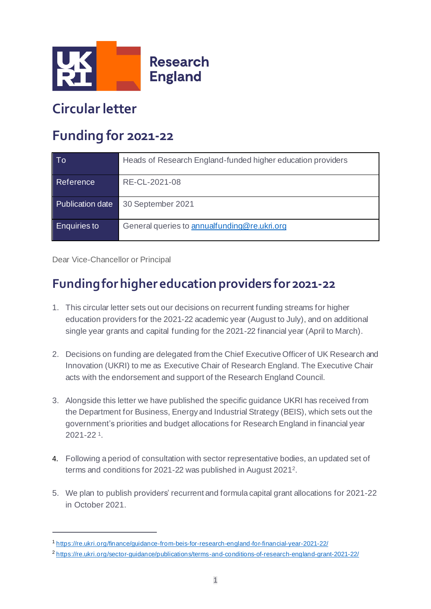

# **Circular letter**

# **Funding for 2021-22**

| To                  | Heads of Research England-funded higher education providers |
|---------------------|-------------------------------------------------------------|
| Reference           | RE-CL-2021-08                                               |
| Publication date    | 30 September 2021                                           |
| <b>Enquiries to</b> | General queries to annualfunding@re.ukri.org                |

Dear Vice-Chancellor or Principal

# **Funding for higher education providers for 2021-22**

- 1. This circular letter sets out our decisions on recurrent funding streams for higher education providers for the 2021-22 academic year (August to July), and on additional single year grants and capital funding for the 2021-22 financial year (April to March).
- 2. Decisions on funding are delegated from the Chief Executive Officer of UK Research and Innovation (UKRI) to me as Executive Chair of Research England. The Executive Chair acts with the endorsement and support of the Research England Council.
- 3. Alongside this letter we have published the specific guidance UKRI has received from the Department for Business, Energy and Industrial Strategy (BEIS), which sets out the government's priorities and budget allocations for Research England in financial year 2021-22 <sup>1</sup> .
- 4. Following a period of consultation with sector representative bodies, an updated set of terms and conditions for 2021-22 was published in August 2021 2 .
- 5. We plan to publish providers' recurrent and formula capital grant allocations for 2021-22 in October 2021.

<sup>1</sup> <https://re.ukri.org/finance/guidance-from-beis-for-research-england-for-financial-year-2021-22/>

<sup>2</sup> <https://re.ukri.org/sector-guidance/publications/terms-and-conditions-of-research-england-grant-2021-22/>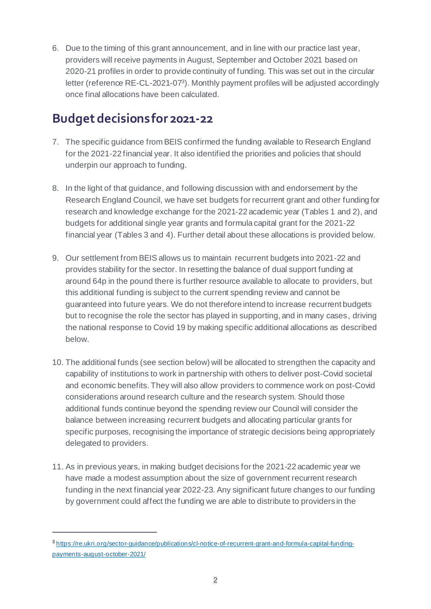6. Due to the timing of this grant announcement, and in line with our practice last year, providers will receive payments in August, September and October 2021 based on 2020-21 profiles in order to provide continuity of funding. This was set out in the circular letter (reference RE-CL-2021-07<sup>3</sup> ). Monthly payment profiles will be adjusted accordingly once final allocations have been calculated.

#### **Budget decisions for 2021-22**

- 7. The specific guidance from BEIS confirmed the funding available to Research England for the 2021-22 financial year. It also identified the priorities and policies that should underpin our approach to funding.
- 8. In the light of that guidance, and following discussion with and endorsement by the Research England Council, we have set budgets for recurrent grant and other funding for research and knowledge exchange for the 2021-22 academic year (Tables 1 and 2), and budgets for additional single year grants and formula capital grant for the 2021-22 financial year (Tables 3 and 4). Further detail about these allocations is provided below.
- 9. Our settlement from BEIS allows us to maintain recurrent budgets into 2021-22 and provides stability for the sector. In resetting the balance of dual support funding at around 64p in the pound there is further resource available to allocate to providers, but this additional funding is subject to the current spending review and cannot be guaranteed into future years. We do not therefore intend to increase recurrent budgets but to recognise the role the sector has played in supporting, and in many cases, driving the national response to Covid 19 by making specific additional allocations as described below.
- 10. The additional funds (see section below) will be allocated to strengthen the capacity and capability of institutions to work in partnership with others to deliver post-Covid societal and economic benefits. They will also allow providers to commence work on post-Covid considerations around research culture and the research system. Should those additional funds continue beyond the spending review our Council will consider the balance between increasing recurrent budgets and allocating particular grants for specific purposes, recognising the importance of strategic decisions being appropriately delegated to providers.
- 11. As in previous years, in making budget decisions for the 2021-22 academic year we have made a modest assumption about the size of government recurrent research funding in the next financial year 2022-23. Any significant future changes to our funding by government could affect the funding we are able to distribute to providers in the

<sup>3</sup> [https://re.ukri.org/sector-guidance/publications/cl-notice-of-recurrent-grant-and-formula-capital-funding](https://re.ukri.org/sector-guidance/publications/cl-notice-of-recurrent-grant-and-formula-capital-funding-payments-august-october-2021/)[payments-august-october-2021/](https://re.ukri.org/sector-guidance/publications/cl-notice-of-recurrent-grant-and-formula-capital-funding-payments-august-october-2021/)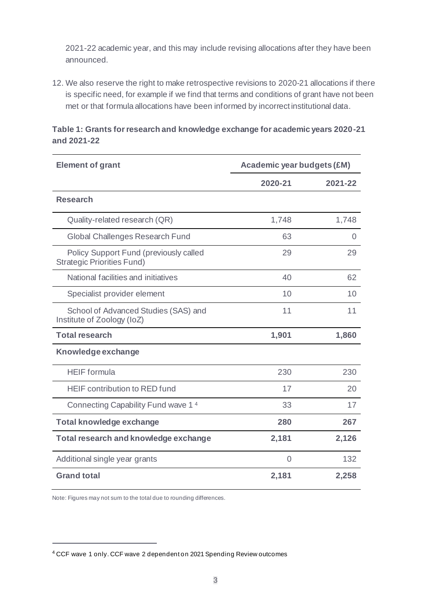2021-22 academic year, and this may include revising allocations after they have been announced.

12. We also reserve the right to make retrospective revisions to 2020-21 allocations if there is specific need, for example if we find that terms and conditions of grant have not been met or that formula allocations have been informed by incorrect institutional data.

| <b>Element of grant</b>                                                     | <b>Academic year budgets (£M)</b> |                |
|-----------------------------------------------------------------------------|-----------------------------------|----------------|
|                                                                             | 2020-21                           | 2021-22        |
| <b>Research</b>                                                             |                                   |                |
| Quality-related research (QR)                                               | 1,748                             | 1,748          |
| Global Challenges Research Fund                                             | 63                                | $\overline{0}$ |
| Policy Support Fund (previously called<br><b>Strategic Priorities Fund)</b> | 29                                | 29             |
| National facilities and initiatives                                         | 40                                | 62             |
| Specialist provider element                                                 | 10                                | 10             |
| School of Advanced Studies (SAS) and<br>Institute of Zoology (IoZ)          | 11                                | 11             |
| <b>Total research</b>                                                       | 1,901                             | 1,860          |
| <b>Knowledge exchange</b>                                                   |                                   |                |
| <b>HEIF</b> formula                                                         | 230                               | 230            |
| <b>HEIF contribution to RED fund</b>                                        | 17                                | 20             |
| Connecting Capability Fund wave 14                                          | 33                                | 17             |
| <b>Total knowledge exchange</b>                                             | 280                               | 267            |
| <b>Total research and knowledge exchange</b>                                | 2,181                             | 2,126          |
| Additional single year grants                                               | 0                                 | 132            |
| <b>Grand total</b>                                                          | 2,181                             | 2,258          |

**Table 1: Grants for research and knowledge exchange for academic years 2020-21 and 2021-22**

Note: Figures may not sum to the total due to rounding differences.

<sup>4</sup> CCF wave 1 only. CCF wave 2 dependent on 2021 Spending Review outcomes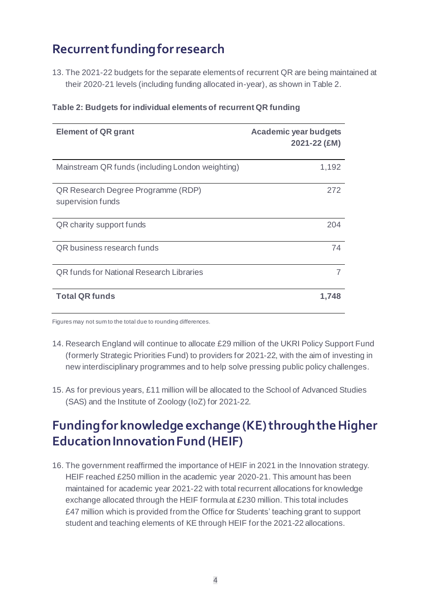# **Recurrent funding for research**

13. The 2021-22 budgets for the separate elements of recurrent QR are being maintained at their 2020-21 levels (including funding allocated in-year), as shown in Table 2.

| <b>Element of QR grant</b>                              | <b>Academic year budgets</b><br>2021-22 (£M) |
|---------------------------------------------------------|----------------------------------------------|
| Mainstream QR funds (including London weighting)        | 1,192                                        |
| QR Research Degree Programme (RDP)<br>supervision funds | 272                                          |
| QR charity support funds                                | 204                                          |
| QR business research funds                              | 74                                           |
| <b>QR funds for National Research Libraries</b>         | 7                                            |
| <b>Total QR funds</b>                                   | 1,748                                        |

#### **Table 2: Budgets for individual elements of recurrent QR funding**

Figures may not sum to the total due to rounding differences.

- 14. Research England will continue to allocate £29 million of the UKRI Policy Support Fund (formerly Strategic Priorities Fund) to providers for 2021-22, with the aim of investing in new interdisciplinary programmes and to help solve pressing public policy challenges.
- 15. As for previous years, £11 million will be allocated to the School of Advanced Studies (SAS) and the Institute of Zoology (IoZ) for 2021-22.

# **Funding for knowledge exchange (KE) through the Higher Education Innovation Fund (HEIF)**

16. The government reaffirmed the importance of HEIF in 2021 in the Innovation strategy. HEIF reached £250 million in the academic year 2020-21. This amount has been maintained for academic year 2021-22 with total recurrent allocations for knowledge exchange allocated through the HEIF formula at £230 million. This total includes £47 million which is provided from the Office for Students' teaching grant to support student and teaching elements of KE through HEIF for the 2021-22 allocations.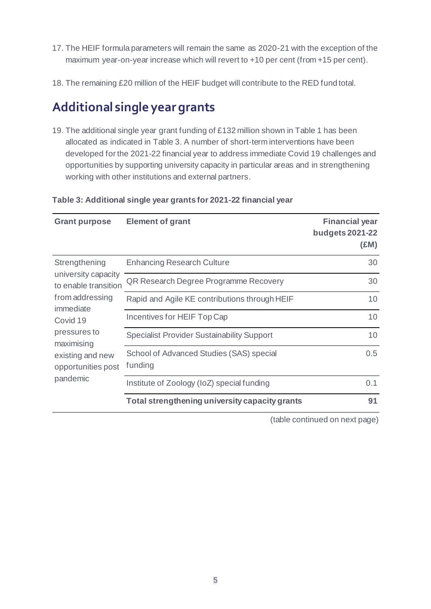- 17. The HEIF formula parameters will remain the same as 2020-21 with the exception of the maximum year-on-year increase which will revert to +10 per cent (from +15 per cent).
- 18. The remaining £20 million of the HEIF budget will contribute to the RED fund total.

## **Additional single yeargrants**

19. The additional single year grant funding of £132 million shown in Table 1 has been allocated as indicated in Table 3. A number of short-term interventions have been developed for the 2021-22 financial year to address immediate Covid 19 challenges and opportunities by supporting university capacity in particular areas and in strengthening working with other institutions and external partners.

| <b>Grant purpose</b>                                                                                                                                                                         | <b>Element of grant</b>                             | <b>Financial year</b><br><b>budgets 2021-22</b><br>(£M) |
|----------------------------------------------------------------------------------------------------------------------------------------------------------------------------------------------|-----------------------------------------------------|---------------------------------------------------------|
| Strengthening<br>university capacity<br>to enable transition<br>from addressing<br>immediate<br>Covid 19<br>pressures to<br>maximising<br>existing and new<br>opportunities post<br>pandemic | <b>Enhancing Research Culture</b>                   | 30                                                      |
|                                                                                                                                                                                              | QR Research Degree Programme Recovery               | 30                                                      |
|                                                                                                                                                                                              | Rapid and Agile KE contributions through HEIF       | 10                                                      |
|                                                                                                                                                                                              | Incentives for HEIF Top Cap                         | 10                                                      |
|                                                                                                                                                                                              | <b>Specialist Provider Sustainability Support</b>   | 10                                                      |
|                                                                                                                                                                                              | School of Advanced Studies (SAS) special<br>funding | 0.5                                                     |
|                                                                                                                                                                                              | Institute of Zoology (IoZ) special funding          | 0.1                                                     |
|                                                                                                                                                                                              | Total strengthening university capacity grants      | 91                                                      |

#### **Table 3: Additional single year grants for 2021-22 financial year**

(table continued on next page)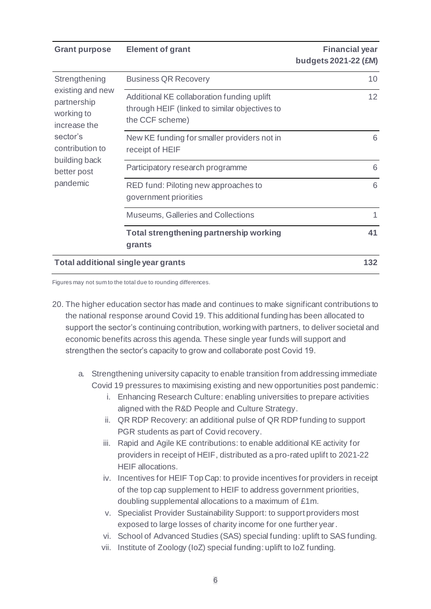**Grant purpose Element of grant Example 20 and Element of grant Financial year** 

**budgets 2021-22 (£M)**

| Strengthening<br>existing and new<br>partnership<br>working to<br>increase the<br>sector's<br>contribution to<br>building back<br>better post<br>pandemic | <b>Business QR Recovery</b>                                                                                    | 10  |
|-----------------------------------------------------------------------------------------------------------------------------------------------------------|----------------------------------------------------------------------------------------------------------------|-----|
|                                                                                                                                                           | Additional KE collaboration funding uplift<br>through HEIF (linked to similar objectives to<br>the CCF scheme) | 12  |
|                                                                                                                                                           | New KE funding for smaller providers not in<br>receipt of HEIF                                                 | 6   |
|                                                                                                                                                           | Participatory research programme                                                                               | 6   |
|                                                                                                                                                           | RED fund: Piloting new approaches to<br>government priorities                                                  | 6   |
|                                                                                                                                                           | Museums, Galleries and Collections                                                                             |     |
|                                                                                                                                                           | Total strengthening partnership working<br>grants                                                              | 41  |
| <b>Total additional single year grants</b>                                                                                                                |                                                                                                                | 132 |

Figures may not sum to the total due to rounding differences.

- 20. The higher education sector has made and continues to make significant contributions to the national response around Covid 19. This additional funding has been allocated to support the sector's continuing contribution, working with partners, to deliver societal and economic benefits across this agenda. These single year funds will support and strengthen the sector's capacity to grow and collaborate post Covid 19.
	- a. Strengthening university capacity to enable transition from addressing immediate Covid 19 pressures to maximising existing and new opportunities post pandemic:
		- i. Enhancing Research Culture: enabling universities to prepare activities aligned with the R&D People and Culture Strategy.
		- ii. QR RDP Recovery: an additional pulse of QR RDP funding to support PGR students as part of Covid recovery.
		- iii. Rapid and Agile KE contributions: to enable additional KE activity for providers in receipt of HEIF, distributed as a pro-rated uplift to 2021-22 HEIF allocations.
		- iv. Incentives for HEIF Top Cap: to provide incentives for providers in receipt of the top cap supplement to HEIF to address government priorities, doubling supplemental allocations to a maximum of £1m.
		- v. Specialist Provider Sustainability Support: to support providers most exposed to large losses of charity income for one further year.
		- vi. School of Advanced Studies (SAS) special funding: uplift to SAS funding.
		- vii. Institute of Zoology (IoZ) special funding: uplift to IoZ funding.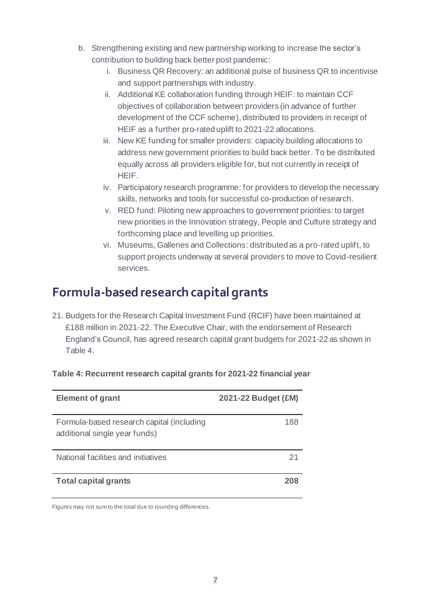- b. Strengthening existing and new partnership working to increase the sector's contribution to building back better post pandemic:
	- i. Business QR Recovery: an additional pulse of business QR to incentivise and support partnerships with industry.
	- ii. Additional KE collaboration funding through HEIF: to maintain CCF objectives of collaboration between providers (in advance of further development of the CCF scheme), distributed to providers in receipt of HEIF as a further pro-rated uplift to 2021-22 allocations.
	- iii. New KE funding for smaller providers: capacity building allocations to address new government priorities to build back better. To be distributed equally across all providers eligible for, but not currently in receipt of HEIF.
	- iv. Participatory research programme: for providers to develop the necessary skills, networks and tools for successful co-production of research.
	- v. RED fund: Piloting new approaches to government priorities: to target new priorities in the Innovation strategy, People and Culture strategy and forthcoming place and levelling up priorities.
	- vi. Museums, Galleries and Collections: distributed as a pro-rated uplift, to support projects underway at several providers to move to Covid-resilient services.

# **Formula-based research capital grants**

21. Budgets for the Research Capital Investment Fund (RCIF) have been maintained at £188 million in 2021-22. The Executive Chair, with the endorsement of Research England's Council, has agreed research capital grant budgets for 2021-22 as shown in Table 4.

| <b>Element of grant</b>                                                    | 2021-22 Budget (£M) |
|----------------------------------------------------------------------------|---------------------|
| Formula-based research capital (including<br>additional single year funds) | 188                 |
| National facilities and initiatives                                        |                     |
| <b>Total capital grants</b>                                                | 208                 |

#### **Table 4: Recurrent research capital grants for 2021-22 financial year**

Figures may not sum to the total due to rounding differences.